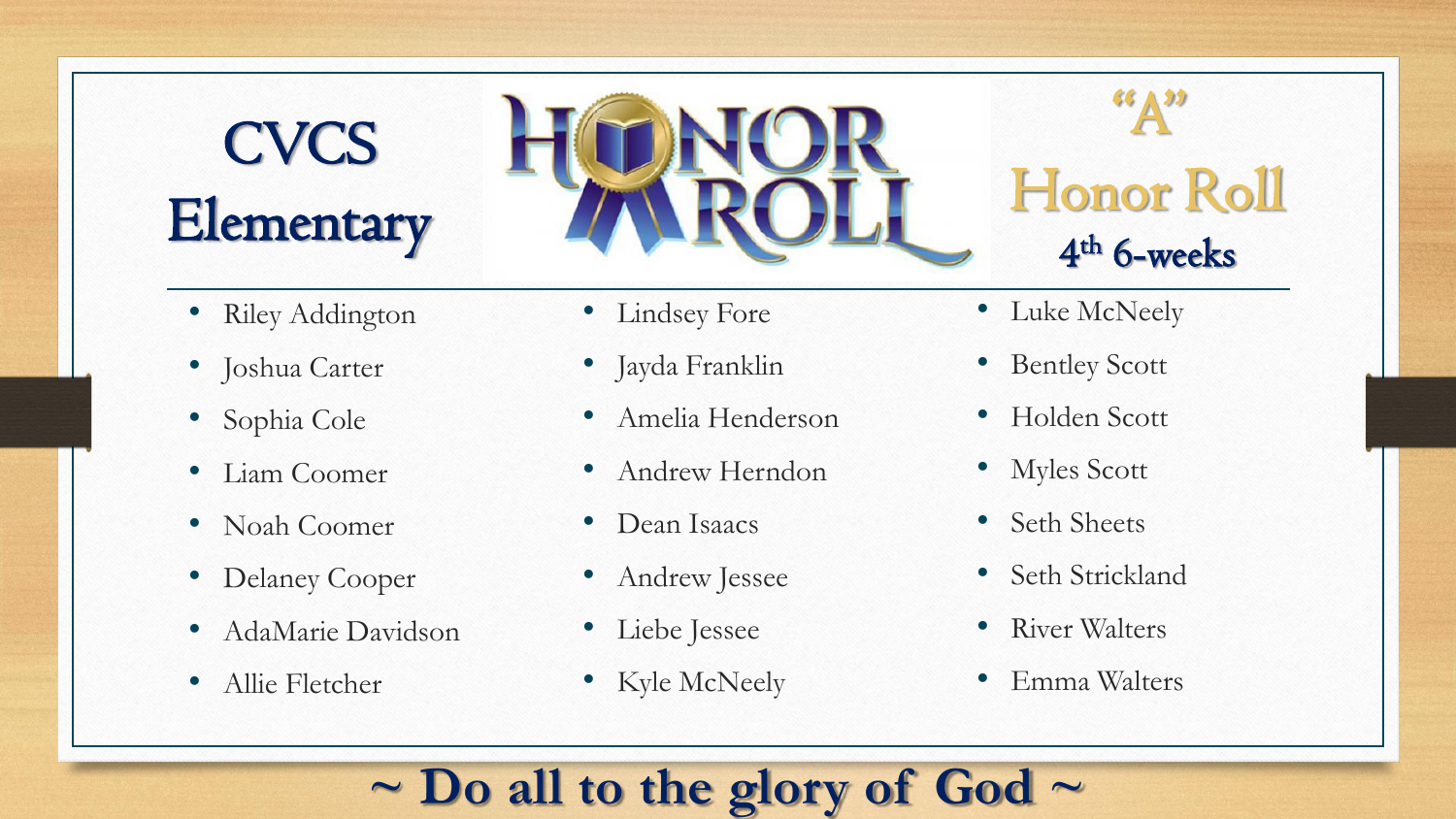# **CVCS Elementary**



- Riley Addington
- Joshua Carter
- Sophia Cole
- Liam Coomer
- Noah Coomer
- Delaney Cooper
- AdaMarie Davidson
- Allie Fletcher
- Lindsey Fore
- Jayda Franklin
- Amelia Henderson
- Andrew Herndon
- Dean Isaacs
- Andrew Jessee
- Liebe Jessee
- Kyle McNeely
- Luke McNeely
- Bentley Scott
- Holden Scott
- Myles Scott
- Seth Sheets
- Seth Strickland
- River Walters
- Emma Walters

#### **~ Do all to the glory of God ~**

66 A 99

Honor Roll

4 th 6-weeks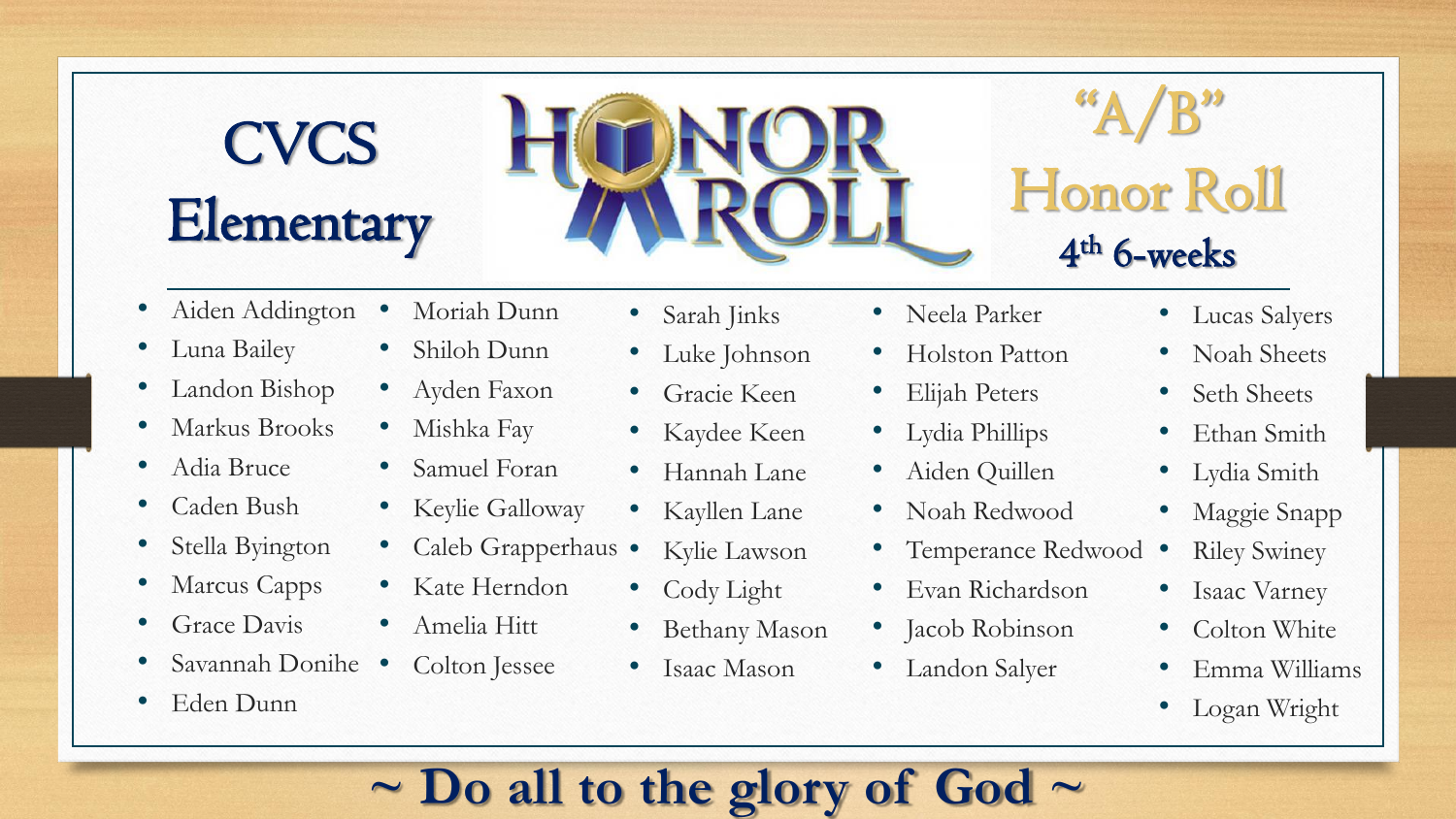# **CVCS Elementary**



### $A/B$ " Honor Roll 4 th 6-weeks

- Aiden Addington
- Luna Bailey
- Landon Bishop
- Markus Brooks
- Adia Bruce
- Caden Bush
- Stella Byington
- Marcus Capps
- Grace Davis
- Savannah Donihe
- Eden Dunn
- Moriah Dunn
- Shiloh Dunn
- Ayden Faxon
- Mishka Fay
- Samuel Foran
- Keylie Galloway
	- Caleb Grapperhaus
- Kate Herndon
- Amelia Hitt
- Colton Jessee
- Sarah Jinks
- Luke Johnson
- Gracie Keen
- Kaydee Keen
- Hannah Lane
- Kayllen Lane
- Kylie Lawson
- Cody Light
- Bethany Mason
- Isaac Mason
- Neela Parker
- Holston Patton
- Elijah Peters
- Lydia Phillips
- Aiden Quillen
- Noah Redwood
- Temperance Redwood •
- Evan Richardson
- Jacob Robinson
- Landon Salyer
- Lucas Salyers
- Noah Sheets
- Seth Sheets
- Ethan Smith
- Lydia Smith
- Maggie Snapp
- **Riley Swiney**
- **Isaac Varney**
- Colton White
- Emma Williams
- Logan Wright

#### **~ Do all to the glory of God ~**

- 
-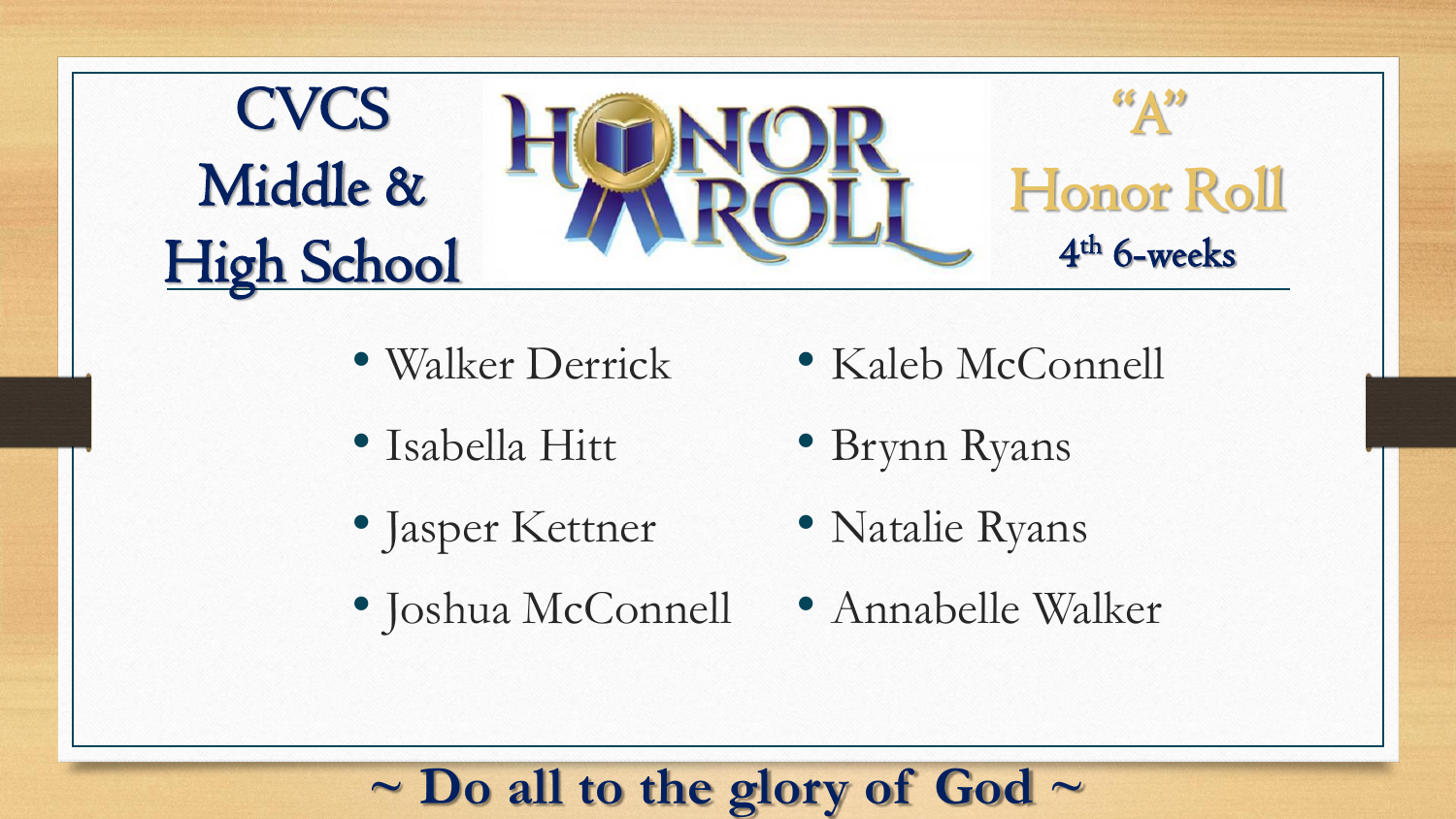

- Walker Derrick
- Isabella Hitt
- Jasper Kettner
- Joshua McConnell
- Kaleb McConnell
- Brynn Ryans
- Natalie Ryans
- Annabelle Walker

#### **~ Do all to the glory of God ~**